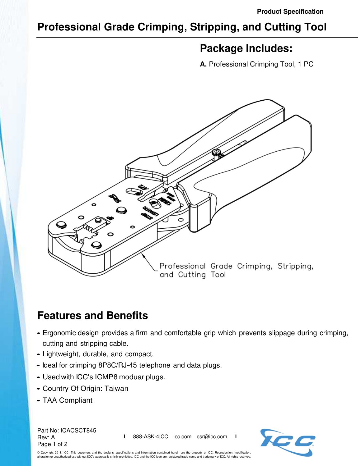## **Professional Grade Crimping, Stripping, and Cutting Tool**

## **Package Includes:**

**A.** Professional Crimping Tool, 1 PC



## **Features and Benefits**

- Ergonomic design provides a firm and comfortable grip which prevents slippage during crimping, cutting and stripping cable.
- Lightweight, durable, and compact.
- Ideal for crimping 8P8C/RJ-45 telephone and data plugs.
- Used with ICC's ICMP8 moduar plugs.
- Country Of Origin: Taiwan
- TAA Compliant

Part No: ICACSCT845 Rev: A Page 1 of 2

**I** 888-ASK-4ICC icc.com csr@icc.com **I**



© Copyright 2018, ICC. This document and the designs, specifications and information contained herein are the property of ICC. Reproduction, modification, alteration or unauthorized use without ICC's approval is strictly prohibited. ICC and the ICC logo are registered trade name and trademark of ICC. All rights reserved.